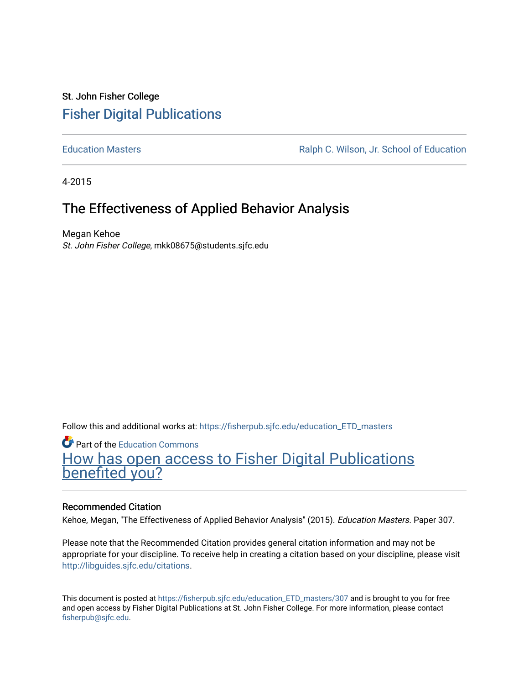# St. John Fisher College [Fisher Digital Publications](https://fisherpub.sjfc.edu/)

[Education Masters](https://fisherpub.sjfc.edu/education_ETD_masters) [Ralph C. Wilson, Jr. School of Education](https://fisherpub.sjfc.edu/education_student) 

4-2015

# The Effectiveness of Applied Behavior Analysis

Megan Kehoe St. John Fisher College, mkk08675@students.sjfc.edu

Follow this and additional works at: [https://fisherpub.sjfc.edu/education\\_ETD\\_masters](https://fisherpub.sjfc.edu/education_ETD_masters?utm_source=fisherpub.sjfc.edu%2Feducation_ETD_masters%2F307&utm_medium=PDF&utm_campaign=PDFCoverPages) 

Part of the [Education Commons](http://network.bepress.com/hgg/discipline/784?utm_source=fisherpub.sjfc.edu%2Feducation_ETD_masters%2F307&utm_medium=PDF&utm_campaign=PDFCoverPages) [How has open access to Fisher Digital Publications](https://docs.google.com/forms/d/14zrnDfH9d1wcdq8oG_-gFabAsxfcH5claltx85ZWyTg/viewform?entry.1394608989=https://fisherpub.sjfc.edu/education_ETD_masters/307%3Chttps://docs.google.com/forms/d/14zrnDfH9d1wcdq8oG_-gFabAsxfcH5claltx85ZWyTg/viewform?entry.1394608989=%7bhttps://fisherpub.sjfc.edu/education_ETD_masters/307%7d) [benefited you?](https://docs.google.com/forms/d/14zrnDfH9d1wcdq8oG_-gFabAsxfcH5claltx85ZWyTg/viewform?entry.1394608989=https://fisherpub.sjfc.edu/education_ETD_masters/307%3Chttps://docs.google.com/forms/d/14zrnDfH9d1wcdq8oG_-gFabAsxfcH5claltx85ZWyTg/viewform?entry.1394608989=%7bhttps://fisherpub.sjfc.edu/education_ETD_masters/307%7d)

#### Recommended Citation

Kehoe, Megan, "The Effectiveness of Applied Behavior Analysis" (2015). Education Masters. Paper 307.

Please note that the Recommended Citation provides general citation information and may not be appropriate for your discipline. To receive help in creating a citation based on your discipline, please visit [http://libguides.sjfc.edu/citations.](http://libguides.sjfc.edu/citations)

This document is posted at [https://fisherpub.sjfc.edu/education\\_ETD\\_masters/307](https://fisherpub.sjfc.edu/education_ETD_masters/307) and is brought to you for free and open access by Fisher Digital Publications at St. John Fisher College. For more information, please contact [fisherpub@sjfc.edu](mailto:fisherpub@sjfc.edu).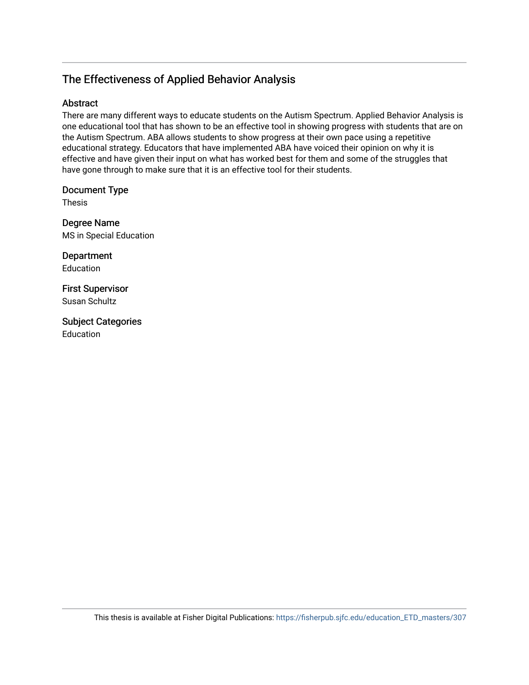# The Effectiveness of Applied Behavior Analysis

## Abstract

There are many different ways to educate students on the Autism Spectrum. Applied Behavior Analysis is one educational tool that has shown to be an effective tool in showing progress with students that are on the Autism Spectrum. ABA allows students to show progress at their own pace using a repetitive educational strategy. Educators that have implemented ABA have voiced their opinion on why it is effective and have given their input on what has worked best for them and some of the struggles that have gone through to make sure that it is an effective tool for their students.

Document Type

Thesis

Degree Name MS in Special Education

Department Education

First Supervisor Susan Schultz

Subject Categories Education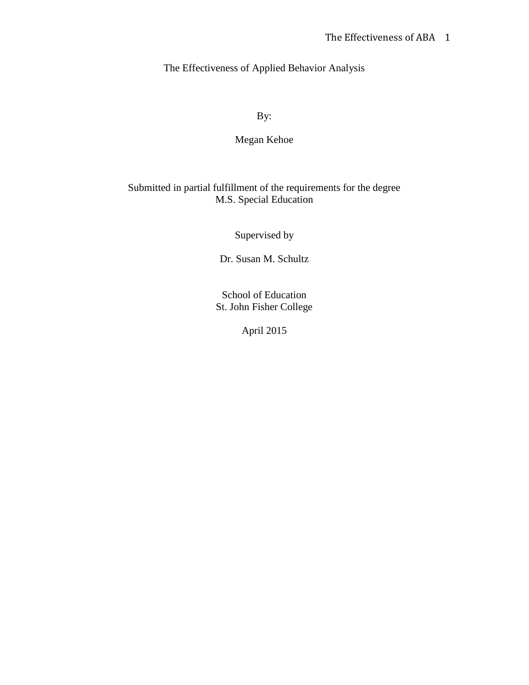The Effectiveness of Applied Behavior Analysis

By:

# Megan Kehoe

## Submitted in partial fulfillment of the requirements for the degree M.S. Special Education

Supervised by

Dr. Susan M. Schultz

School of Education St. John Fisher College

April 2015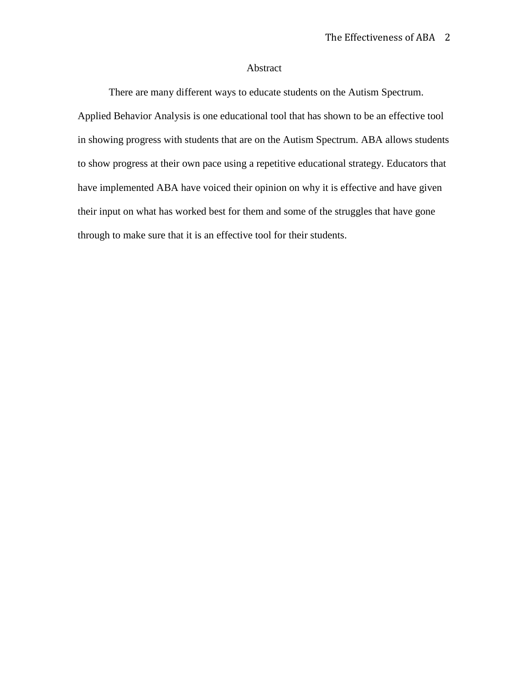### Abstract

There are many different ways to educate students on the Autism Spectrum. Applied Behavior Analysis is one educational tool that has shown to be an effective tool in showing progress with students that are on the Autism Spectrum. ABA allows students to show progress at their own pace using a repetitive educational strategy. Educators that have implemented ABA have voiced their opinion on why it is effective and have given their input on what has worked best for them and some of the struggles that have gone through to make sure that it is an effective tool for their students.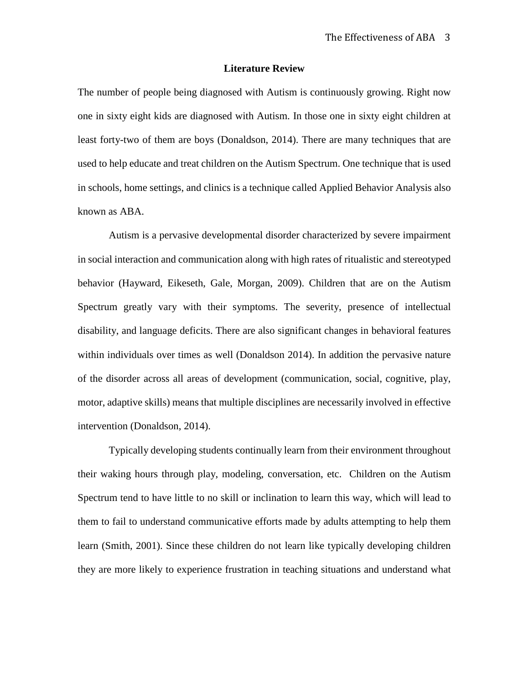#### **Literature Review**

The number of people being diagnosed with Autism is continuously growing. Right now one in sixty eight kids are diagnosed with Autism. In those one in sixty eight children at least forty-two of them are boys (Donaldson, 2014). There are many techniques that are used to help educate and treat children on the Autism Spectrum. One technique that is used in schools, home settings, and clinics is a technique called Applied Behavior Analysis also known as ABA.

Autism is a pervasive developmental disorder characterized by severe impairment in social interaction and communication along with high rates of ritualistic and stereotyped behavior (Hayward, Eikeseth, Gale, Morgan, 2009). Children that are on the Autism Spectrum greatly vary with their symptoms. The severity, presence of intellectual disability, and language deficits. There are also significant changes in behavioral features within individuals over times as well (Donaldson 2014). In addition the pervasive nature of the disorder across all areas of development (communication, social, cognitive, play, motor, adaptive skills) means that multiple disciplines are necessarily involved in effective intervention (Donaldson, 2014).

Typically developing students continually learn from their environment throughout their waking hours through play, modeling, conversation, etc. Children on the Autism Spectrum tend to have little to no skill or inclination to learn this way, which will lead to them to fail to understand communicative efforts made by adults attempting to help them learn (Smith, 2001). Since these children do not learn like typically developing children they are more likely to experience frustration in teaching situations and understand what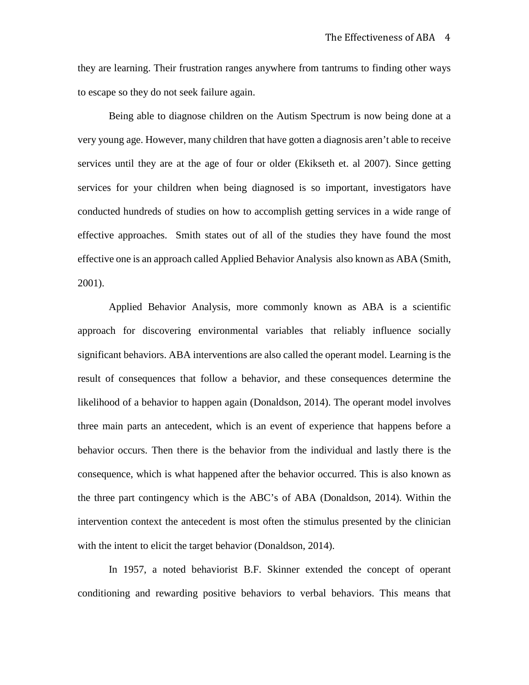they are learning. Their frustration ranges anywhere from tantrums to finding other ways to escape so they do not seek failure again.

Being able to diagnose children on the Autism Spectrum is now being done at a very young age. However, many children that have gotten a diagnosis aren't able to receive services until they are at the age of four or older (Ekikseth et. al 2007). Since getting services for your children when being diagnosed is so important, investigators have conducted hundreds of studies on how to accomplish getting services in a wide range of effective approaches. Smith states out of all of the studies they have found the most effective one is an approach called Applied Behavior Analysis also known as ABA (Smith, 2001).

Applied Behavior Analysis, more commonly known as ABA is a scientific approach for discovering environmental variables that reliably influence socially significant behaviors. ABA interventions are also called the operant model. Learning is the result of consequences that follow a behavior, and these consequences determine the likelihood of a behavior to happen again (Donaldson, 2014). The operant model involves three main parts an antecedent, which is an event of experience that happens before a behavior occurs. Then there is the behavior from the individual and lastly there is the consequence, which is what happened after the behavior occurred. This is also known as the three part contingency which is the ABC's of ABA (Donaldson, 2014). Within the intervention context the antecedent is most often the stimulus presented by the clinician with the intent to elicit the target behavior (Donaldson, 2014).

In 1957, a noted behaviorist B.F. Skinner extended the concept of operant conditioning and rewarding positive behaviors to verbal behaviors. This means that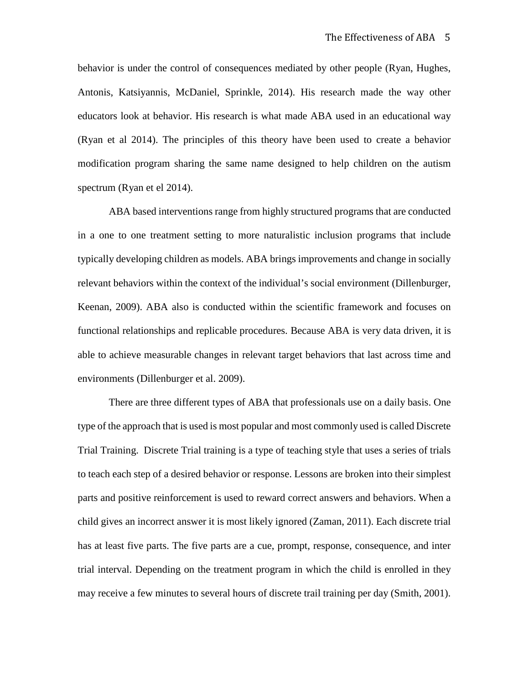behavior is under the control of consequences mediated by other people (Ryan, Hughes, Antonis, Katsiyannis, McDaniel, Sprinkle, 2014). His research made the way other educators look at behavior. His research is what made ABA used in an educational way (Ryan et al 2014). The principles of this theory have been used to create a behavior modification program sharing the same name designed to help children on the autism spectrum (Ryan et el 2014).

ABA based interventions range from highly structured programs that are conducted in a one to one treatment setting to more naturalistic inclusion programs that include typically developing children as models. ABA brings improvements and change in socially relevant behaviors within the context of the individual's social environment (Dillenburger, Keenan, 2009). ABA also is conducted within the scientific framework and focuses on functional relationships and replicable procedures. Because ABA is very data driven, it is able to achieve measurable changes in relevant target behaviors that last across time and environments (Dillenburger et al. 2009).

There are three different types of ABA that professionals use on a daily basis. One type of the approach that is used is most popular and most commonly used is called Discrete Trial Training. Discrete Trial training is a type of teaching style that uses a series of trials to teach each step of a desired behavior or response. Lessons are broken into their simplest parts and positive reinforcement is used to reward correct answers and behaviors. When a child gives an incorrect answer it is most likely ignored (Zaman, 2011). Each discrete trial has at least five parts. The five parts are a cue, prompt, response, consequence, and inter trial interval. Depending on the treatment program in which the child is enrolled in they may receive a few minutes to several hours of discrete trail training per day (Smith, 2001).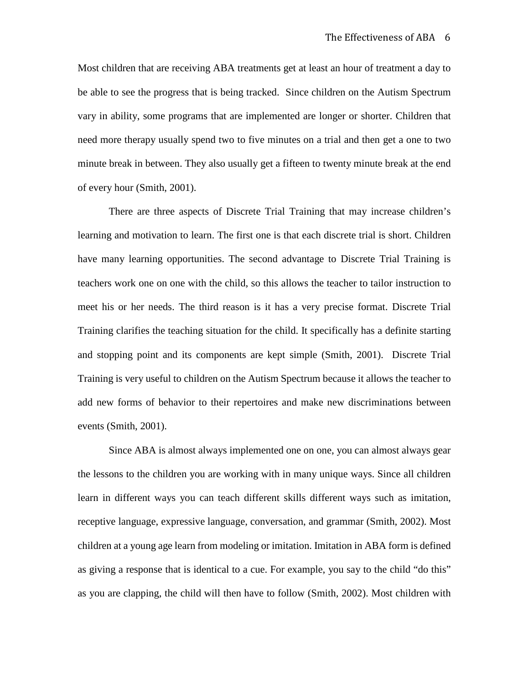Most children that are receiving ABA treatments get at least an hour of treatment a day to be able to see the progress that is being tracked. Since children on the Autism Spectrum vary in ability, some programs that are implemented are longer or shorter. Children that need more therapy usually spend two to five minutes on a trial and then get a one to two minute break in between. They also usually get a fifteen to twenty minute break at the end of every hour (Smith, 2001).

There are three aspects of Discrete Trial Training that may increase children's learning and motivation to learn. The first one is that each discrete trial is short. Children have many learning opportunities. The second advantage to Discrete Trial Training is teachers work one on one with the child, so this allows the teacher to tailor instruction to meet his or her needs. The third reason is it has a very precise format. Discrete Trial Training clarifies the teaching situation for the child. It specifically has a definite starting and stopping point and its components are kept simple (Smith, 2001). Discrete Trial Training is very useful to children on the Autism Spectrum because it allows the teacher to add new forms of behavior to their repertoires and make new discriminations between events (Smith, 2001).

Since ABA is almost always implemented one on one, you can almost always gear the lessons to the children you are working with in many unique ways. Since all children learn in different ways you can teach different skills different ways such as imitation, receptive language, expressive language, conversation, and grammar (Smith, 2002). Most children at a young age learn from modeling or imitation. Imitation in ABA form is defined as giving a response that is identical to a cue. For example, you say to the child "do this" as you are clapping, the child will then have to follow (Smith, 2002). Most children with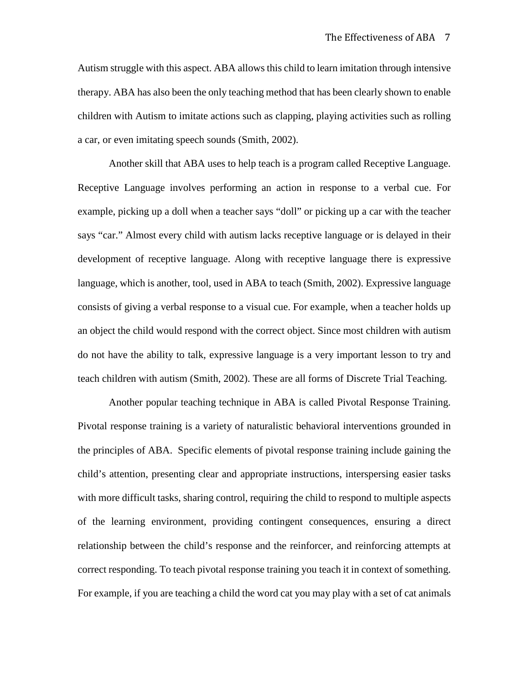Autism struggle with this aspect. ABA allows this child to learn imitation through intensive therapy. ABA has also been the only teaching method that has been clearly shown to enable children with Autism to imitate actions such as clapping, playing activities such as rolling a car, or even imitating speech sounds (Smith, 2002).

Another skill that ABA uses to help teach is a program called Receptive Language. Receptive Language involves performing an action in response to a verbal cue. For example, picking up a doll when a teacher says "doll" or picking up a car with the teacher says "car." Almost every child with autism lacks receptive language or is delayed in their development of receptive language. Along with receptive language there is expressive language, which is another, tool, used in ABA to teach (Smith, 2002). Expressive language consists of giving a verbal response to a visual cue. For example, when a teacher holds up an object the child would respond with the correct object. Since most children with autism do not have the ability to talk, expressive language is a very important lesson to try and teach children with autism (Smith, 2002). These are all forms of Discrete Trial Teaching.

Another popular teaching technique in ABA is called Pivotal Response Training. Pivotal response training is a variety of naturalistic behavioral interventions grounded in the principles of ABA. Specific elements of pivotal response training include gaining the child's attention, presenting clear and appropriate instructions, interspersing easier tasks with more difficult tasks, sharing control, requiring the child to respond to multiple aspects of the learning environment, providing contingent consequences, ensuring a direct relationship between the child's response and the reinforcer, and reinforcing attempts at correct responding. To teach pivotal response training you teach it in context of something. For example, if you are teaching a child the word cat you may play with a set of cat animals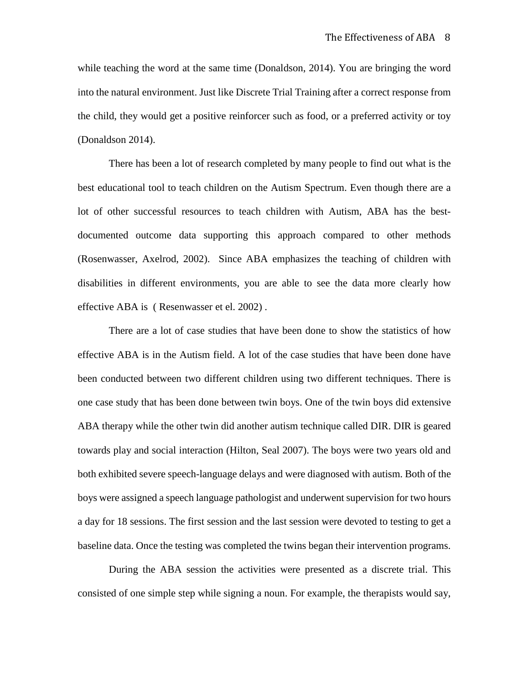while teaching the word at the same time (Donaldson, 2014). You are bringing the word into the natural environment. Just like Discrete Trial Training after a correct response from the child, they would get a positive reinforcer such as food, or a preferred activity or toy (Donaldson 2014).

There has been a lot of research completed by many people to find out what is the best educational tool to teach children on the Autism Spectrum. Even though there are a lot of other successful resources to teach children with Autism, ABA has the bestdocumented outcome data supporting this approach compared to other methods (Rosenwasser, Axelrod, 2002). Since ABA emphasizes the teaching of children with disabilities in different environments, you are able to see the data more clearly how effective ABA is ( Resenwasser et el. 2002) .

There are a lot of case studies that have been done to show the statistics of how effective ABA is in the Autism field. A lot of the case studies that have been done have been conducted between two different children using two different techniques. There is one case study that has been done between twin boys. One of the twin boys did extensive ABA therapy while the other twin did another autism technique called DIR. DIR is geared towards play and social interaction (Hilton, Seal 2007). The boys were two years old and both exhibited severe speech-language delays and were diagnosed with autism. Both of the boys were assigned a speech language pathologist and underwent supervision for two hours a day for 18 sessions. The first session and the last session were devoted to testing to get a baseline data. Once the testing was completed the twins began their intervention programs.

During the ABA session the activities were presented as a discrete trial. This consisted of one simple step while signing a noun. For example, the therapists would say,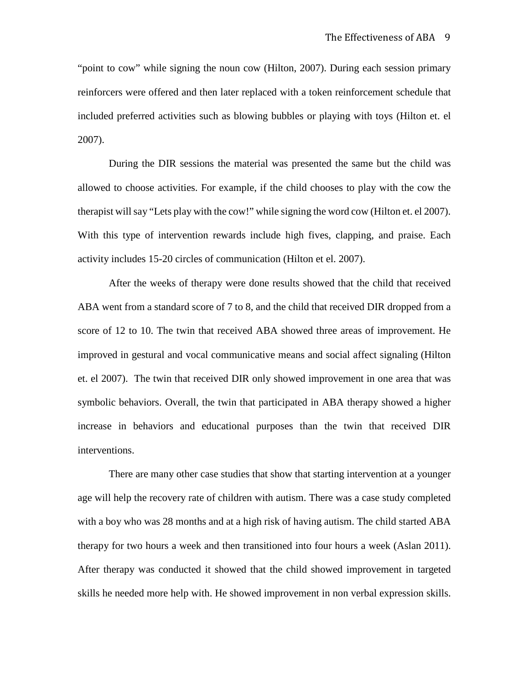"point to cow" while signing the noun cow (Hilton, 2007). During each session primary reinforcers were offered and then later replaced with a token reinforcement schedule that included preferred activities such as blowing bubbles or playing with toys (Hilton et. el 2007).

During the DIR sessions the material was presented the same but the child was allowed to choose activities. For example, if the child chooses to play with the cow the therapist will say "Lets play with the cow!" while signing the word cow (Hilton et. el 2007). With this type of intervention rewards include high fives, clapping, and praise. Each activity includes 15-20 circles of communication (Hilton et el. 2007).

After the weeks of therapy were done results showed that the child that received ABA went from a standard score of 7 to 8, and the child that received DIR dropped from a score of 12 to 10. The twin that received ABA showed three areas of improvement. He improved in gestural and vocal communicative means and social affect signaling (Hilton et. el 2007). The twin that received DIR only showed improvement in one area that was symbolic behaviors. Overall, the twin that participated in ABA therapy showed a higher increase in behaviors and educational purposes than the twin that received DIR interventions.

There are many other case studies that show that starting intervention at a younger age will help the recovery rate of children with autism. There was a case study completed with a boy who was 28 months and at a high risk of having autism. The child started ABA therapy for two hours a week and then transitioned into four hours a week (Aslan 2011). After therapy was conducted it showed that the child showed improvement in targeted skills he needed more help with. He showed improvement in non verbal expression skills.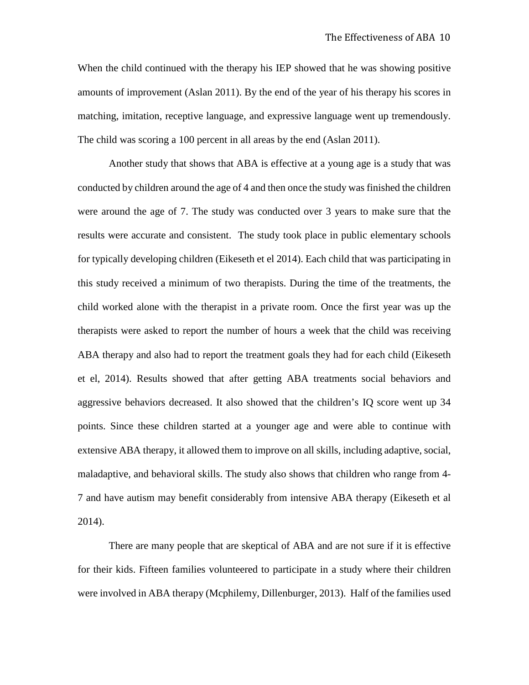When the child continued with the therapy his IEP showed that he was showing positive amounts of improvement (Aslan 2011). By the end of the year of his therapy his scores in matching, imitation, receptive language, and expressive language went up tremendously. The child was scoring a 100 percent in all areas by the end (Aslan 2011).

Another study that shows that ABA is effective at a young age is a study that was conducted by children around the age of 4 and then once the study was finished the children were around the age of 7. The study was conducted over 3 years to make sure that the results were accurate and consistent. The study took place in public elementary schools for typically developing children (Eikeseth et el 2014). Each child that was participating in this study received a minimum of two therapists. During the time of the treatments, the child worked alone with the therapist in a private room. Once the first year was up the therapists were asked to report the number of hours a week that the child was receiving ABA therapy and also had to report the treatment goals they had for each child (Eikeseth et el, 2014). Results showed that after getting ABA treatments social behaviors and aggressive behaviors decreased. It also showed that the children's IQ score went up 34 points. Since these children started at a younger age and were able to continue with extensive ABA therapy, it allowed them to improve on all skills, including adaptive, social, maladaptive, and behavioral skills. The study also shows that children who range from 4- 7 and have autism may benefit considerably from intensive ABA therapy (Eikeseth et al 2014).

There are many people that are skeptical of ABA and are not sure if it is effective for their kids. Fifteen families volunteered to participate in a study where their children were involved in ABA therapy (Mcphilemy, Dillenburger, 2013). Half of the families used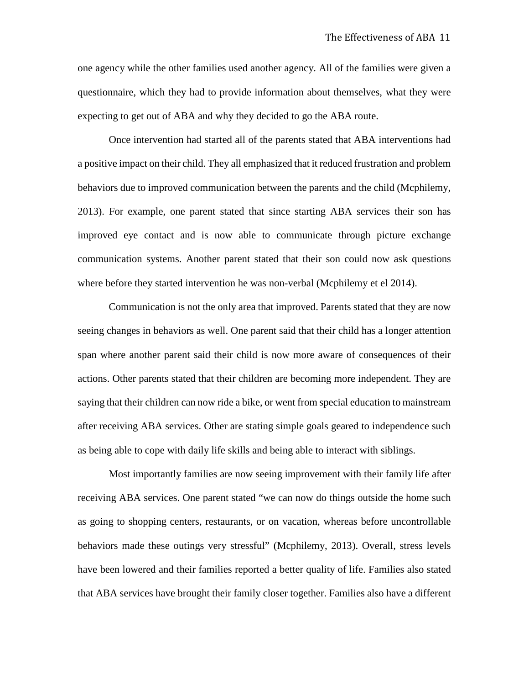one agency while the other families used another agency. All of the families were given a questionnaire, which they had to provide information about themselves, what they were expecting to get out of ABA and why they decided to go the ABA route.

Once intervention had started all of the parents stated that ABA interventions had a positive impact on their child. They all emphasized that it reduced frustration and problem behaviors due to improved communication between the parents and the child (Mcphilemy, 2013). For example, one parent stated that since starting ABA services their son has improved eye contact and is now able to communicate through picture exchange communication systems. Another parent stated that their son could now ask questions where before they started intervention he was non-verbal (Mcphilemy et el 2014).

Communication is not the only area that improved. Parents stated that they are now seeing changes in behaviors as well. One parent said that their child has a longer attention span where another parent said their child is now more aware of consequences of their actions. Other parents stated that their children are becoming more independent. They are saying that their children can now ride a bike, or went from special education to mainstream after receiving ABA services. Other are stating simple goals geared to independence such as being able to cope with daily life skills and being able to interact with siblings.

Most importantly families are now seeing improvement with their family life after receiving ABA services. One parent stated "we can now do things outside the home such as going to shopping centers, restaurants, or on vacation, whereas before uncontrollable behaviors made these outings very stressful" (Mcphilemy, 2013). Overall, stress levels have been lowered and their families reported a better quality of life. Families also stated that ABA services have brought their family closer together. Families also have a different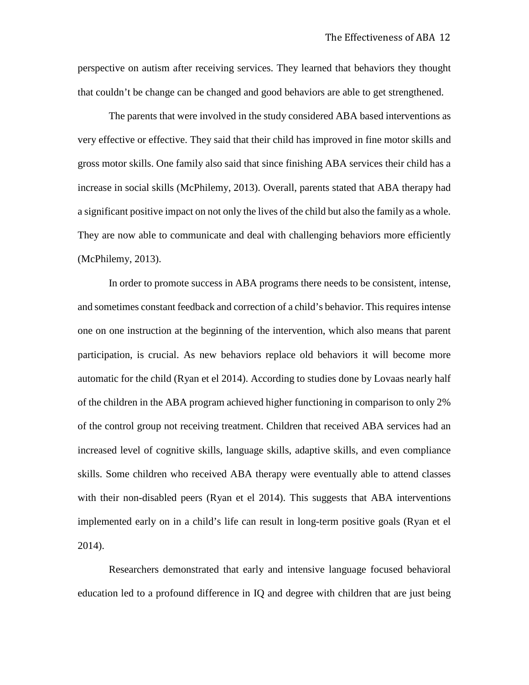perspective on autism after receiving services. They learned that behaviors they thought that couldn't be change can be changed and good behaviors are able to get strengthened.

The parents that were involved in the study considered ABA based interventions as very effective or effective. They said that their child has improved in fine motor skills and gross motor skills. One family also said that since finishing ABA services their child has a increase in social skills (McPhilemy, 2013). Overall, parents stated that ABA therapy had a significant positive impact on not only the lives of the child but also the family as a whole. They are now able to communicate and deal with challenging behaviors more efficiently (McPhilemy, 2013).

In order to promote success in ABA programs there needs to be consistent, intense, and sometimes constant feedback and correction of a child's behavior. This requires intense one on one instruction at the beginning of the intervention, which also means that parent participation, is crucial. As new behaviors replace old behaviors it will become more automatic for the child (Ryan et el 2014). According to studies done by Lovaas nearly half of the children in the ABA program achieved higher functioning in comparison to only 2% of the control group not receiving treatment. Children that received ABA services had an increased level of cognitive skills, language skills, adaptive skills, and even compliance skills. Some children who received ABA therapy were eventually able to attend classes with their non-disabled peers (Ryan et el 2014). This suggests that ABA interventions implemented early on in a child's life can result in long-term positive goals (Ryan et el 2014).

Researchers demonstrated that early and intensive language focused behavioral education led to a profound difference in IQ and degree with children that are just being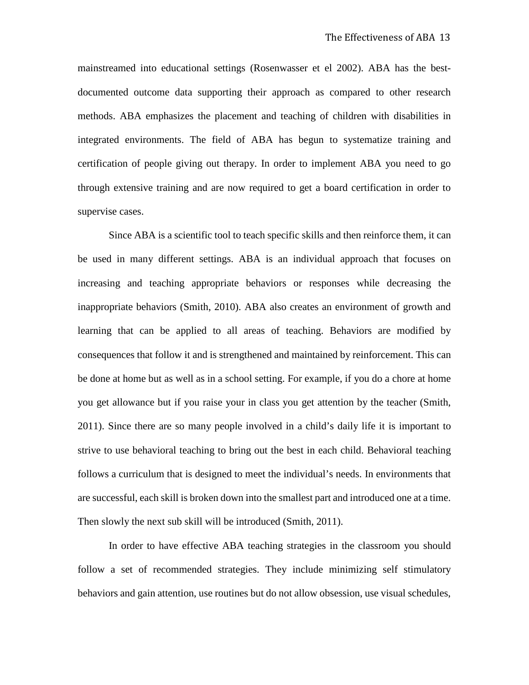mainstreamed into educational settings (Rosenwasser et el 2002). ABA has the bestdocumented outcome data supporting their approach as compared to other research methods. ABA emphasizes the placement and teaching of children with disabilities in integrated environments. The field of ABA has begun to systematize training and certification of people giving out therapy. In order to implement ABA you need to go through extensive training and are now required to get a board certification in order to supervise cases.

Since ABA is a scientific tool to teach specific skills and then reinforce them, it can be used in many different settings. ABA is an individual approach that focuses on increasing and teaching appropriate behaviors or responses while decreasing the inappropriate behaviors (Smith, 2010). ABA also creates an environment of growth and learning that can be applied to all areas of teaching. Behaviors are modified by consequences that follow it and is strengthened and maintained by reinforcement. This can be done at home but as well as in a school setting. For example, if you do a chore at home you get allowance but if you raise your in class you get attention by the teacher (Smith, 2011). Since there are so many people involved in a child's daily life it is important to strive to use behavioral teaching to bring out the best in each child. Behavioral teaching follows a curriculum that is designed to meet the individual's needs. In environments that are successful, each skill is broken down into the smallest part and introduced one at a time. Then slowly the next sub skill will be introduced (Smith, 2011).

In order to have effective ABA teaching strategies in the classroom you should follow a set of recommended strategies. They include minimizing self stimulatory behaviors and gain attention, use routines but do not allow obsession, use visual schedules,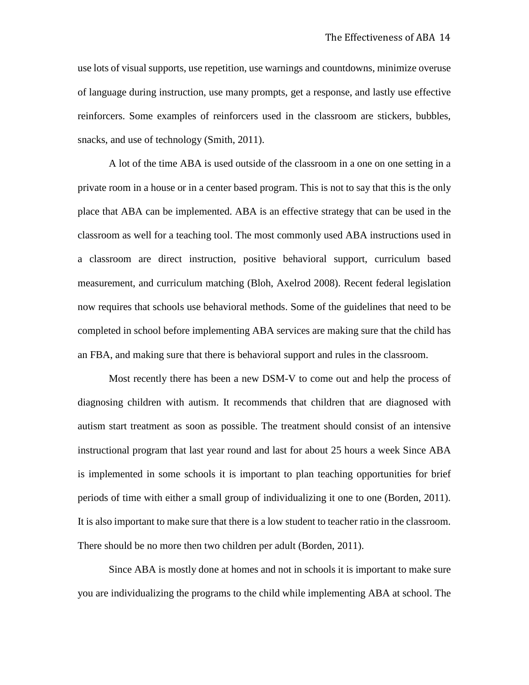use lots of visual supports, use repetition, use warnings and countdowns, minimize overuse of language during instruction, use many prompts, get a response, and lastly use effective reinforcers. Some examples of reinforcers used in the classroom are stickers, bubbles, snacks, and use of technology (Smith, 2011).

A lot of the time ABA is used outside of the classroom in a one on one setting in a private room in a house or in a center based program. This is not to say that this is the only place that ABA can be implemented. ABA is an effective strategy that can be used in the classroom as well for a teaching tool. The most commonly used ABA instructions used in a classroom are direct instruction, positive behavioral support, curriculum based measurement, and curriculum matching (Bloh, Axelrod 2008). Recent federal legislation now requires that schools use behavioral methods. Some of the guidelines that need to be completed in school before implementing ABA services are making sure that the child has an FBA, and making sure that there is behavioral support and rules in the classroom.

Most recently there has been a new DSM-V to come out and help the process of diagnosing children with autism. It recommends that children that are diagnosed with autism start treatment as soon as possible. The treatment should consist of an intensive instructional program that last year round and last for about 25 hours a week Since ABA is implemented in some schools it is important to plan teaching opportunities for brief periods of time with either a small group of individualizing it one to one (Borden, 2011). It is also important to make sure that there is a low student to teacher ratio in the classroom. There should be no more then two children per adult (Borden, 2011).

Since ABA is mostly done at homes and not in schools it is important to make sure you are individualizing the programs to the child while implementing ABA at school. The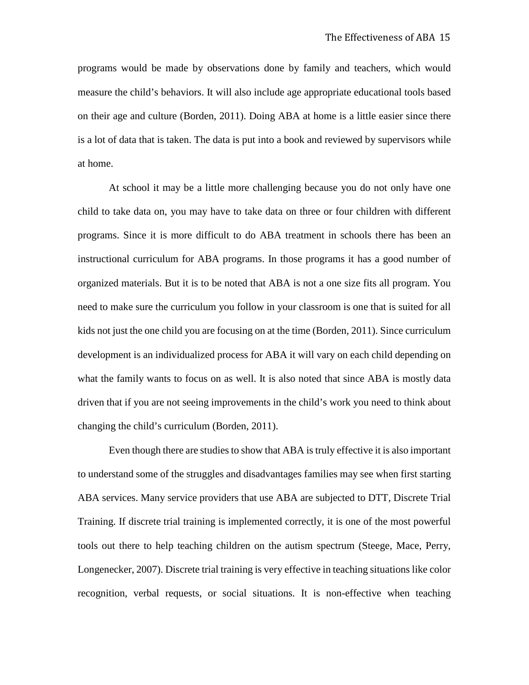programs would be made by observations done by family and teachers, which would measure the child's behaviors. It will also include age appropriate educational tools based on their age and culture (Borden, 2011). Doing ABA at home is a little easier since there is a lot of data that is taken. The data is put into a book and reviewed by supervisors while at home.

At school it may be a little more challenging because you do not only have one child to take data on, you may have to take data on three or four children with different programs. Since it is more difficult to do ABA treatment in schools there has been an instructional curriculum for ABA programs. In those programs it has a good number of organized materials. But it is to be noted that ABA is not a one size fits all program. You need to make sure the curriculum you follow in your classroom is one that is suited for all kids not just the one child you are focusing on at the time (Borden, 2011). Since curriculum development is an individualized process for ABA it will vary on each child depending on what the family wants to focus on as well. It is also noted that since ABA is mostly data driven that if you are not seeing improvements in the child's work you need to think about changing the child's curriculum (Borden, 2011).

Even though there are studies to show that ABA is truly effective it is also important to understand some of the struggles and disadvantages families may see when first starting ABA services. Many service providers that use ABA are subjected to DTT, Discrete Trial Training. If discrete trial training is implemented correctly, it is one of the most powerful tools out there to help teaching children on the autism spectrum (Steege, Mace, Perry, Longenecker, 2007). Discrete trial training is very effective in teaching situations like color recognition, verbal requests, or social situations. It is non-effective when teaching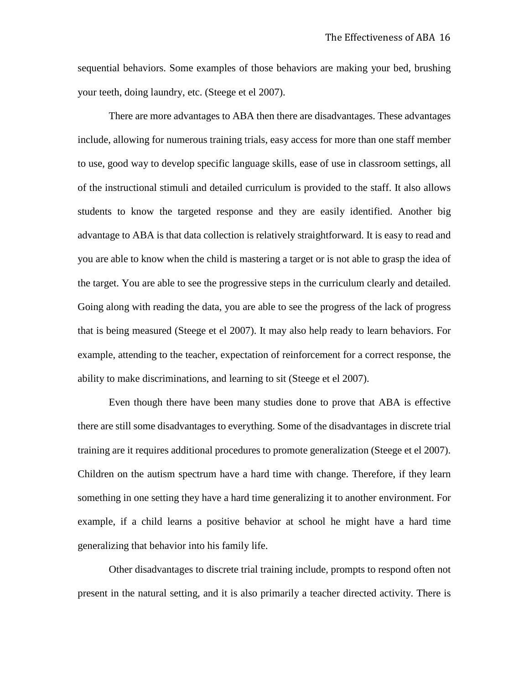sequential behaviors. Some examples of those behaviors are making your bed, brushing your teeth, doing laundry, etc. (Steege et el 2007).

There are more advantages to ABA then there are disadvantages. These advantages include, allowing for numerous training trials, easy access for more than one staff member to use, good way to develop specific language skills, ease of use in classroom settings, all of the instructional stimuli and detailed curriculum is provided to the staff. It also allows students to know the targeted response and they are easily identified. Another big advantage to ABA is that data collection is relatively straightforward. It is easy to read and you are able to know when the child is mastering a target or is not able to grasp the idea of the target. You are able to see the progressive steps in the curriculum clearly and detailed. Going along with reading the data, you are able to see the progress of the lack of progress that is being measured (Steege et el 2007). It may also help ready to learn behaviors. For example, attending to the teacher, expectation of reinforcement for a correct response, the ability to make discriminations, and learning to sit (Steege et el 2007).

Even though there have been many studies done to prove that ABA is effective there are still some disadvantages to everything. Some of the disadvantages in discrete trial training are it requires additional procedures to promote generalization (Steege et el 2007). Children on the autism spectrum have a hard time with change. Therefore, if they learn something in one setting they have a hard time generalizing it to another environment. For example, if a child learns a positive behavior at school he might have a hard time generalizing that behavior into his family life.

Other disadvantages to discrete trial training include, prompts to respond often not present in the natural setting, and it is also primarily a teacher directed activity. There is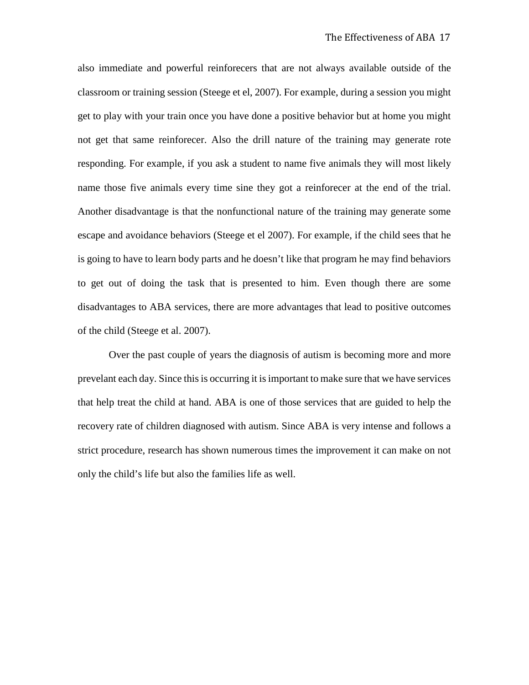also immediate and powerful reinforecers that are not always available outside of the classroom or training session (Steege et el, 2007). For example, during a session you might get to play with your train once you have done a positive behavior but at home you might not get that same reinforecer. Also the drill nature of the training may generate rote responding. For example, if you ask a student to name five animals they will most likely name those five animals every time sine they got a reinforecer at the end of the trial. Another disadvantage is that the nonfunctional nature of the training may generate some escape and avoidance behaviors (Steege et el 2007). For example, if the child sees that he is going to have to learn body parts and he doesn't like that program he may find behaviors to get out of doing the task that is presented to him. Even though there are some disadvantages to ABA services, there are more advantages that lead to positive outcomes of the child (Steege et al. 2007).

Over the past couple of years the diagnosis of autism is becoming more and more prevelant each day. Since this is occurring it is important to make sure that we have services that help treat the child at hand. ABA is one of those services that are guided to help the recovery rate of children diagnosed with autism. Since ABA is very intense and follows a strict procedure, research has shown numerous times the improvement it can make on not only the child's life but also the families life as well.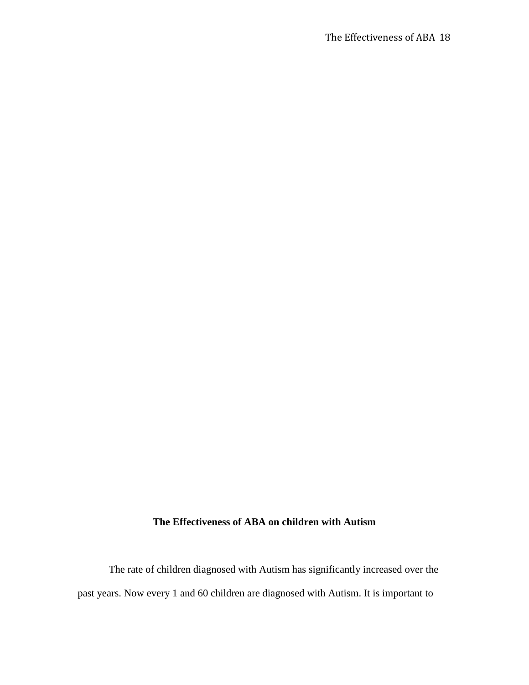# **The Effectiveness of ABA on children with Autism**

The rate of children diagnosed with Autism has significantly increased over the past years. Now every 1 and 60 children are diagnosed with Autism. It is important to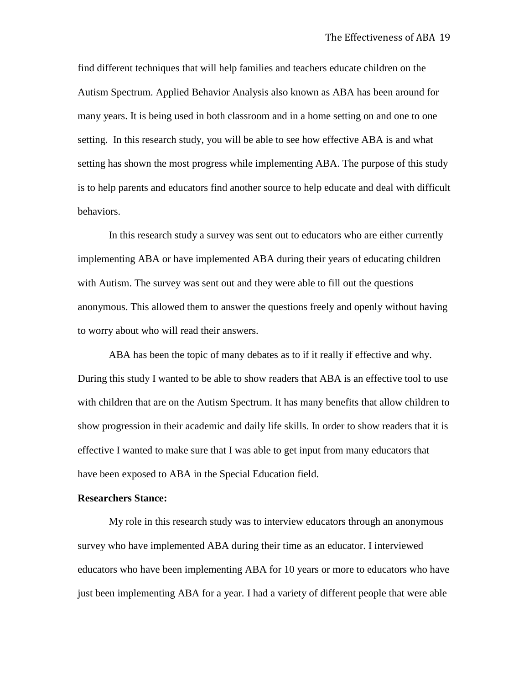find different techniques that will help families and teachers educate children on the Autism Spectrum. Applied Behavior Analysis also known as ABA has been around for many years. It is being used in both classroom and in a home setting on and one to one setting. In this research study, you will be able to see how effective ABA is and what setting has shown the most progress while implementing ABA. The purpose of this study is to help parents and educators find another source to help educate and deal with difficult behaviors.

In this research study a survey was sent out to educators who are either currently implementing ABA or have implemented ABA during their years of educating children with Autism. The survey was sent out and they were able to fill out the questions anonymous. This allowed them to answer the questions freely and openly without having to worry about who will read their answers.

ABA has been the topic of many debates as to if it really if effective and why. During this study I wanted to be able to show readers that ABA is an effective tool to use with children that are on the Autism Spectrum. It has many benefits that allow children to show progression in their academic and daily life skills. In order to show readers that it is effective I wanted to make sure that I was able to get input from many educators that have been exposed to ABA in the Special Education field.

#### **Researchers Stance:**

My role in this research study was to interview educators through an anonymous survey who have implemented ABA during their time as an educator. I interviewed educators who have been implementing ABA for 10 years or more to educators who have just been implementing ABA for a year. I had a variety of different people that were able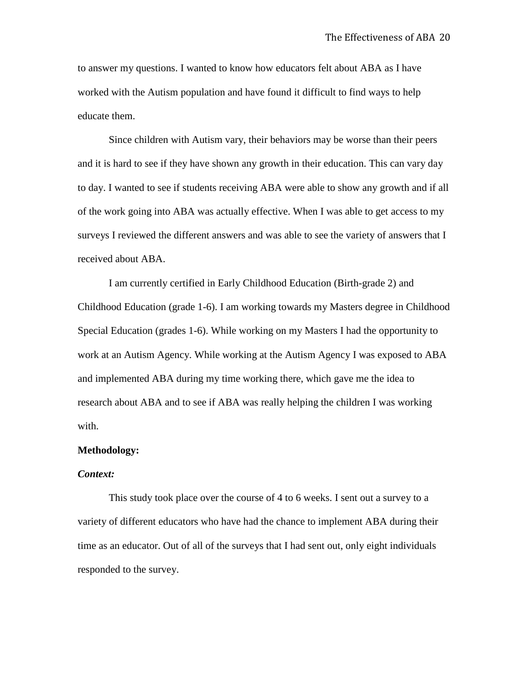to answer my questions. I wanted to know how educators felt about ABA as I have worked with the Autism population and have found it difficult to find ways to help educate them.

Since children with Autism vary, their behaviors may be worse than their peers and it is hard to see if they have shown any growth in their education. This can vary day to day. I wanted to see if students receiving ABA were able to show any growth and if all of the work going into ABA was actually effective. When I was able to get access to my surveys I reviewed the different answers and was able to see the variety of answers that I received about ABA.

I am currently certified in Early Childhood Education (Birth-grade 2) and Childhood Education (grade 1-6). I am working towards my Masters degree in Childhood Special Education (grades 1-6). While working on my Masters I had the opportunity to work at an Autism Agency. While working at the Autism Agency I was exposed to ABA and implemented ABA during my time working there, which gave me the idea to research about ABA and to see if ABA was really helping the children I was working with.

#### **Methodology:**

#### *Context:*

This study took place over the course of 4 to 6 weeks. I sent out a survey to a variety of different educators who have had the chance to implement ABA during their time as an educator. Out of all of the surveys that I had sent out, only eight individuals responded to the survey.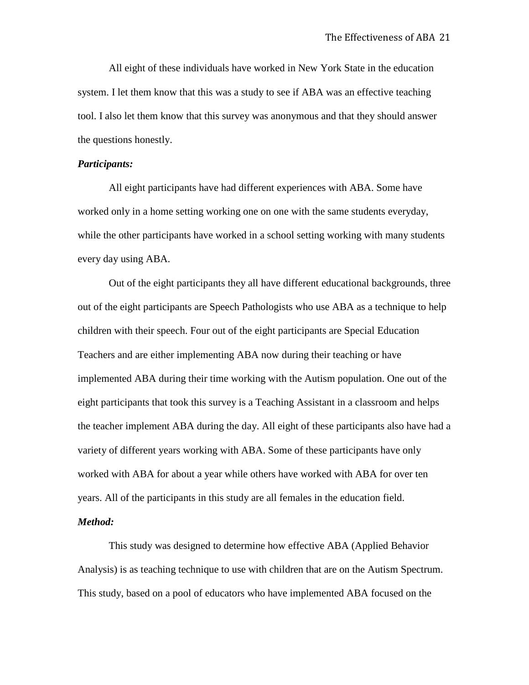All eight of these individuals have worked in New York State in the education system. I let them know that this was a study to see if ABA was an effective teaching tool. I also let them know that this survey was anonymous and that they should answer the questions honestly.

#### *Participants:*

All eight participants have had different experiences with ABA. Some have worked only in a home setting working one on one with the same students everyday, while the other participants have worked in a school setting working with many students every day using ABA.

Out of the eight participants they all have different educational backgrounds, three out of the eight participants are Speech Pathologists who use ABA as a technique to help children with their speech. Four out of the eight participants are Special Education Teachers and are either implementing ABA now during their teaching or have implemented ABA during their time working with the Autism population. One out of the eight participants that took this survey is a Teaching Assistant in a classroom and helps the teacher implement ABA during the day. All eight of these participants also have had a variety of different years working with ABA. Some of these participants have only worked with ABA for about a year while others have worked with ABA for over ten years. All of the participants in this study are all females in the education field. *Method:* 

This study was designed to determine how effective ABA (Applied Behavior Analysis) is as teaching technique to use with children that are on the Autism Spectrum. This study, based on a pool of educators who have implemented ABA focused on the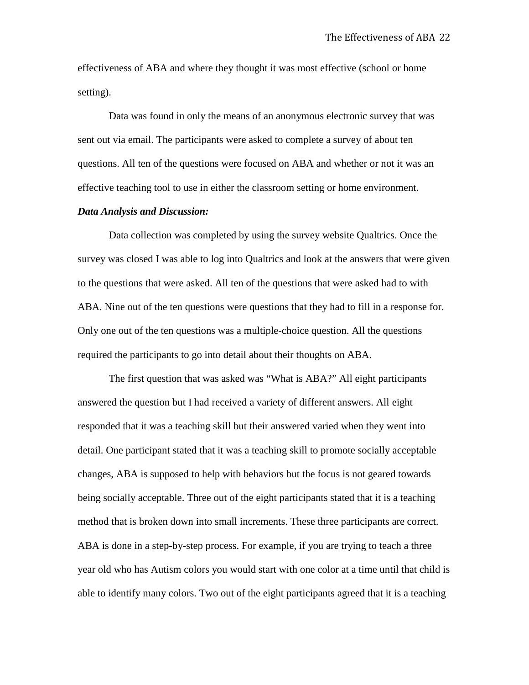effectiveness of ABA and where they thought it was most effective (school or home setting).

Data was found in only the means of an anonymous electronic survey that was sent out via email. The participants were asked to complete a survey of about ten questions. All ten of the questions were focused on ABA and whether or not it was an effective teaching tool to use in either the classroom setting or home environment.

#### *Data Analysis and Discussion:*

Data collection was completed by using the survey website Qualtrics. Once the survey was closed I was able to log into Qualtrics and look at the answers that were given to the questions that were asked. All ten of the questions that were asked had to with ABA. Nine out of the ten questions were questions that they had to fill in a response for. Only one out of the ten questions was a multiple-choice question. All the questions required the participants to go into detail about their thoughts on ABA.

The first question that was asked was "What is ABA?" All eight participants answered the question but I had received a variety of different answers. All eight responded that it was a teaching skill but their answered varied when they went into detail. One participant stated that it was a teaching skill to promote socially acceptable changes, ABA is supposed to help with behaviors but the focus is not geared towards being socially acceptable. Three out of the eight participants stated that it is a teaching method that is broken down into small increments. These three participants are correct. ABA is done in a step-by-step process. For example, if you are trying to teach a three year old who has Autism colors you would start with one color at a time until that child is able to identify many colors. Two out of the eight participants agreed that it is a teaching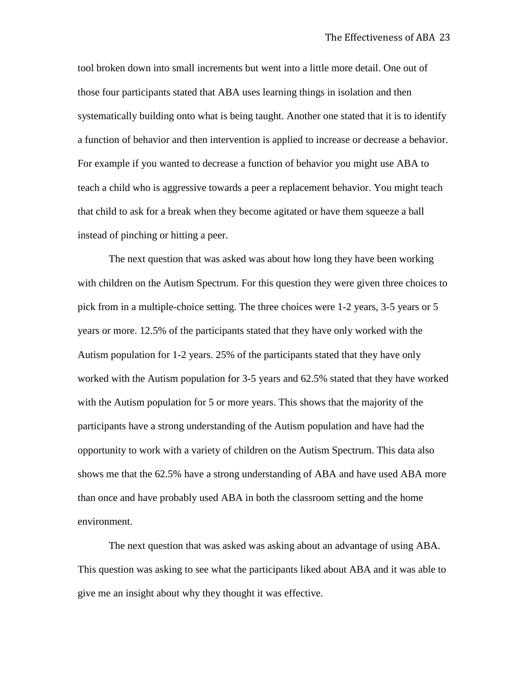tool broken down into small increments but went into a little more detail. One out of those four participants stated that ABA uses learning things in isolation and then systematically building onto what is being taught. Another one stated that it is to identify a function of behavior and then intervention is applied to increase or decrease a behavior. For example if you wanted to decrease a function of behavior you might use ABA to teach a child who is aggressive towards a peer a replacement behavior. You might teach that child to ask for a break when they become agitated or have them squeeze a ball instead of pinching or hitting a peer.

The next question that was asked was about how long they have been working with children on the Autism Spectrum. For this question they were given three choices to pick from in a multiple-choice setting. The three choices were 1-2 years, 3-5 years or 5 years or more. 12.5% of the participants stated that they have only worked with the Autism population for 1-2 years. 25% of the participants stated that they have only worked with the Autism population for 3-5 years and 62.5% stated that they have worked with the Autism population for 5 or more years. This shows that the majority of the participants have a strong understanding of the Autism population and have had the opportunity to work with a variety of children on the Autism Spectrum. This data also shows me that the 62.5% have a strong understanding of ABA and have used ABA more than once and have probably used ABA in both the classroom setting and the home environment.

The next question that was asked was asking about an advantage of using ABA. This question was asking to see what the participants liked about ABA and it was able to give me an insight about why they thought it was effective.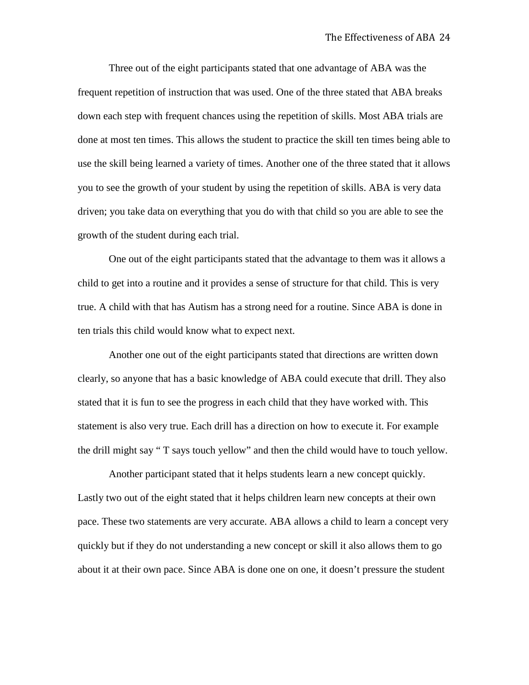Three out of the eight participants stated that one advantage of ABA was the frequent repetition of instruction that was used. One of the three stated that ABA breaks down each step with frequent chances using the repetition of skills. Most ABA trials are done at most ten times. This allows the student to practice the skill ten times being able to use the skill being learned a variety of times. Another one of the three stated that it allows you to see the growth of your student by using the repetition of skills. ABA is very data driven; you take data on everything that you do with that child so you are able to see the growth of the student during each trial.

One out of the eight participants stated that the advantage to them was it allows a child to get into a routine and it provides a sense of structure for that child. This is very true. A child with that has Autism has a strong need for a routine. Since ABA is done in ten trials this child would know what to expect next.

Another one out of the eight participants stated that directions are written down clearly, so anyone that has a basic knowledge of ABA could execute that drill. They also stated that it is fun to see the progress in each child that they have worked with. This statement is also very true. Each drill has a direction on how to execute it. For example the drill might say " T says touch yellow" and then the child would have to touch yellow.

Another participant stated that it helps students learn a new concept quickly. Lastly two out of the eight stated that it helps children learn new concepts at their own pace. These two statements are very accurate. ABA allows a child to learn a concept very quickly but if they do not understanding a new concept or skill it also allows them to go about it at their own pace. Since ABA is done one on one, it doesn't pressure the student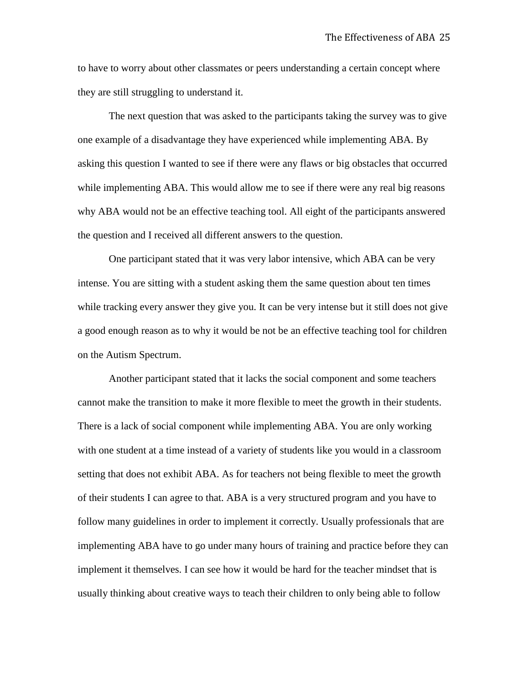to have to worry about other classmates or peers understanding a certain concept where they are still struggling to understand it.

The next question that was asked to the participants taking the survey was to give one example of a disadvantage they have experienced while implementing ABA. By asking this question I wanted to see if there were any flaws or big obstacles that occurred while implementing ABA. This would allow me to see if there were any real big reasons why ABA would not be an effective teaching tool. All eight of the participants answered the question and I received all different answers to the question.

One participant stated that it was very labor intensive, which ABA can be very intense. You are sitting with a student asking them the same question about ten times while tracking every answer they give you. It can be very intense but it still does not give a good enough reason as to why it would be not be an effective teaching tool for children on the Autism Spectrum.

Another participant stated that it lacks the social component and some teachers cannot make the transition to make it more flexible to meet the growth in their students. There is a lack of social component while implementing ABA. You are only working with one student at a time instead of a variety of students like you would in a classroom setting that does not exhibit ABA. As for teachers not being flexible to meet the growth of their students I can agree to that. ABA is a very structured program and you have to follow many guidelines in order to implement it correctly. Usually professionals that are implementing ABA have to go under many hours of training and practice before they can implement it themselves. I can see how it would be hard for the teacher mindset that is usually thinking about creative ways to teach their children to only being able to follow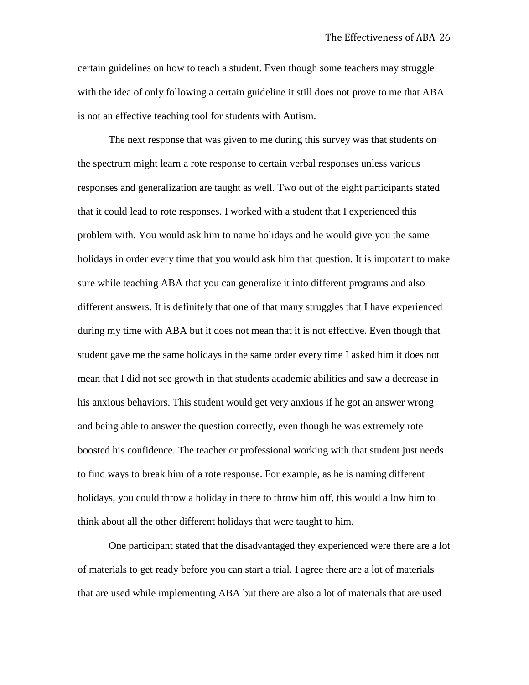certain guidelines on how to teach a student. Even though some teachers may struggle with the idea of only following a certain guideline it still does not prove to me that ABA is not an effective teaching tool for students with Autism.

The next response that was given to me during this survey was that students on the spectrum might learn a rote response to certain verbal responses unless various responses and generalization are taught as well. Two out of the eight participants stated that it could lead to rote responses. I worked with a student that I experienced this problem with. You would ask him to name holidays and he would give you the same holidays in order every time that you would ask him that question. It is important to make sure while teaching ABA that you can generalize it into different programs and also different answers. It is definitely that one of that many struggles that I have experienced during my time with ABA but it does not mean that it is not effective. Even though that student gave me the same holidays in the same order every time I asked him it does not mean that I did not see growth in that students academic abilities and saw a decrease in his anxious behaviors. This student would get very anxious if he got an answer wrong and being able to answer the question correctly, even though he was extremely rote boosted his confidence. The teacher or professional working with that student just needs to find ways to break him of a rote response. For example, as he is naming different holidays, you could throw a holiday in there to throw him off, this would allow him to think about all the other different holidays that were taught to him.

One participant stated that the disadvantaged they experienced were there are a lot of materials to get ready before you can start a trial. I agree there are a lot of materials that are used while implementing ABA but there are also a lot of materials that are used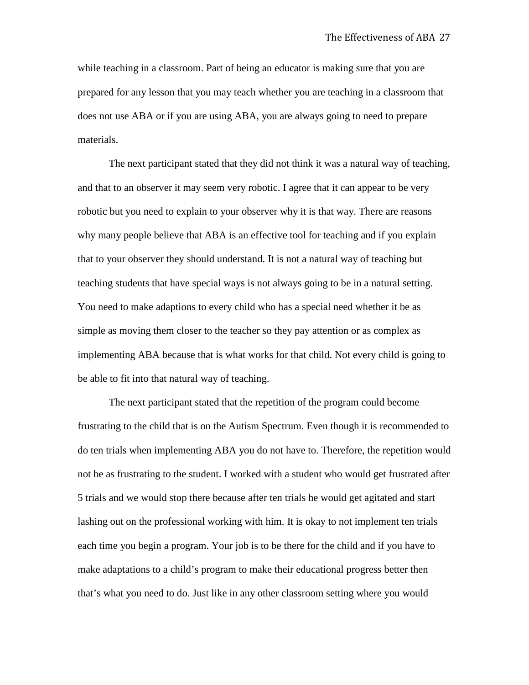while teaching in a classroom. Part of being an educator is making sure that you are prepared for any lesson that you may teach whether you are teaching in a classroom that does not use ABA or if you are using ABA, you are always going to need to prepare materials.

The next participant stated that they did not think it was a natural way of teaching, and that to an observer it may seem very robotic. I agree that it can appear to be very robotic but you need to explain to your observer why it is that way. There are reasons why many people believe that ABA is an effective tool for teaching and if you explain that to your observer they should understand. It is not a natural way of teaching but teaching students that have special ways is not always going to be in a natural setting. You need to make adaptions to every child who has a special need whether it be as simple as moving them closer to the teacher so they pay attention or as complex as implementing ABA because that is what works for that child. Not every child is going to be able to fit into that natural way of teaching.

The next participant stated that the repetition of the program could become frustrating to the child that is on the Autism Spectrum. Even though it is recommended to do ten trials when implementing ABA you do not have to. Therefore, the repetition would not be as frustrating to the student. I worked with a student who would get frustrated after 5 trials and we would stop there because after ten trials he would get agitated and start lashing out on the professional working with him. It is okay to not implement ten trials each time you begin a program. Your job is to be there for the child and if you have to make adaptations to a child's program to make their educational progress better then that's what you need to do. Just like in any other classroom setting where you would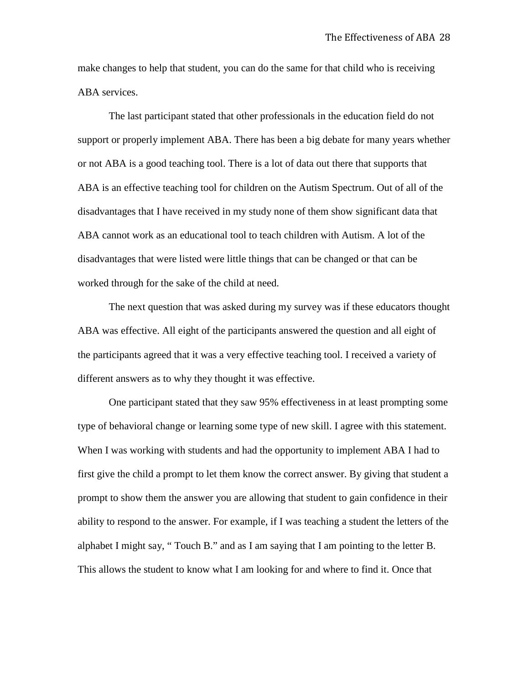make changes to help that student, you can do the same for that child who is receiving ABA services.

The last participant stated that other professionals in the education field do not support or properly implement ABA. There has been a big debate for many years whether or not ABA is a good teaching tool. There is a lot of data out there that supports that ABA is an effective teaching tool for children on the Autism Spectrum. Out of all of the disadvantages that I have received in my study none of them show significant data that ABA cannot work as an educational tool to teach children with Autism. A lot of the disadvantages that were listed were little things that can be changed or that can be worked through for the sake of the child at need.

The next question that was asked during my survey was if these educators thought ABA was effective. All eight of the participants answered the question and all eight of the participants agreed that it was a very effective teaching tool. I received a variety of different answers as to why they thought it was effective.

One participant stated that they saw 95% effectiveness in at least prompting some type of behavioral change or learning some type of new skill. I agree with this statement. When I was working with students and had the opportunity to implement ABA I had to first give the child a prompt to let them know the correct answer. By giving that student a prompt to show them the answer you are allowing that student to gain confidence in their ability to respond to the answer. For example, if I was teaching a student the letters of the alphabet I might say, " Touch B." and as I am saying that I am pointing to the letter B. This allows the student to know what I am looking for and where to find it. Once that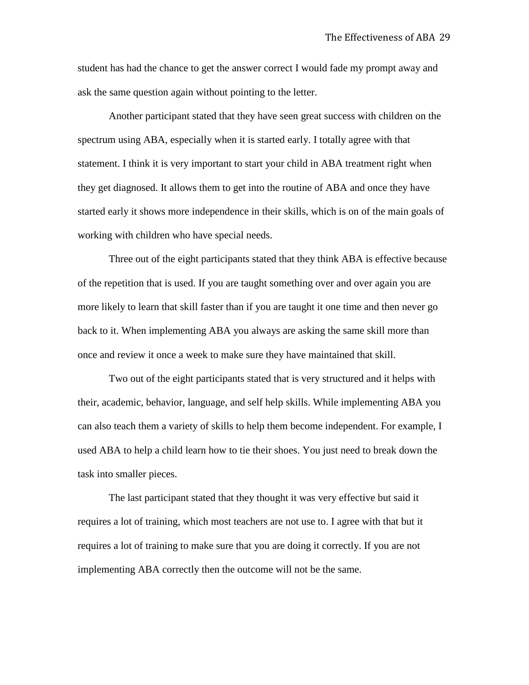student has had the chance to get the answer correct I would fade my prompt away and ask the same question again without pointing to the letter.

Another participant stated that they have seen great success with children on the spectrum using ABA, especially when it is started early. I totally agree with that statement. I think it is very important to start your child in ABA treatment right when they get diagnosed. It allows them to get into the routine of ABA and once they have started early it shows more independence in their skills, which is on of the main goals of working with children who have special needs.

Three out of the eight participants stated that they think ABA is effective because of the repetition that is used. If you are taught something over and over again you are more likely to learn that skill faster than if you are taught it one time and then never go back to it. When implementing ABA you always are asking the same skill more than once and review it once a week to make sure they have maintained that skill.

Two out of the eight participants stated that is very structured and it helps with their, academic, behavior, language, and self help skills. While implementing ABA you can also teach them a variety of skills to help them become independent. For example, I used ABA to help a child learn how to tie their shoes. You just need to break down the task into smaller pieces.

The last participant stated that they thought it was very effective but said it requires a lot of training, which most teachers are not use to. I agree with that but it requires a lot of training to make sure that you are doing it correctly. If you are not implementing ABA correctly then the outcome will not be the same.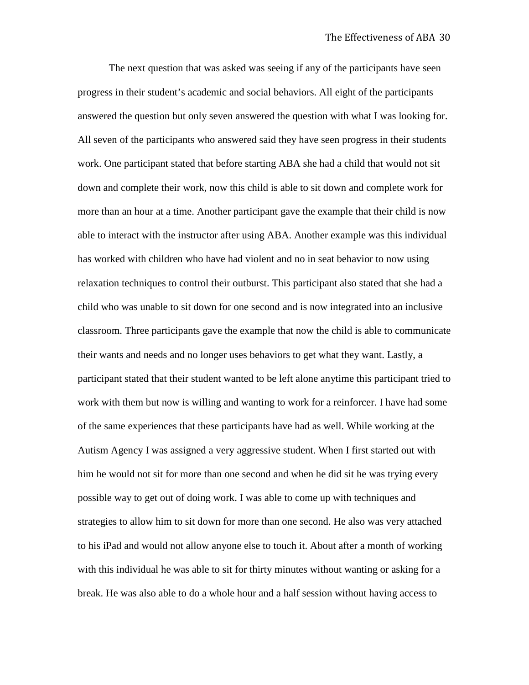The next question that was asked was seeing if any of the participants have seen progress in their student's academic and social behaviors. All eight of the participants answered the question but only seven answered the question with what I was looking for. All seven of the participants who answered said they have seen progress in their students work. One participant stated that before starting ABA she had a child that would not sit down and complete their work, now this child is able to sit down and complete work for more than an hour at a time. Another participant gave the example that their child is now able to interact with the instructor after using ABA. Another example was this individual has worked with children who have had violent and no in seat behavior to now using relaxation techniques to control their outburst. This participant also stated that she had a child who was unable to sit down for one second and is now integrated into an inclusive classroom. Three participants gave the example that now the child is able to communicate their wants and needs and no longer uses behaviors to get what they want. Lastly, a participant stated that their student wanted to be left alone anytime this participant tried to work with them but now is willing and wanting to work for a reinforcer. I have had some of the same experiences that these participants have had as well. While working at the Autism Agency I was assigned a very aggressive student. When I first started out with him he would not sit for more than one second and when he did sit he was trying every possible way to get out of doing work. I was able to come up with techniques and strategies to allow him to sit down for more than one second. He also was very attached to his iPad and would not allow anyone else to touch it. About after a month of working with this individual he was able to sit for thirty minutes without wanting or asking for a break. He was also able to do a whole hour and a half session without having access to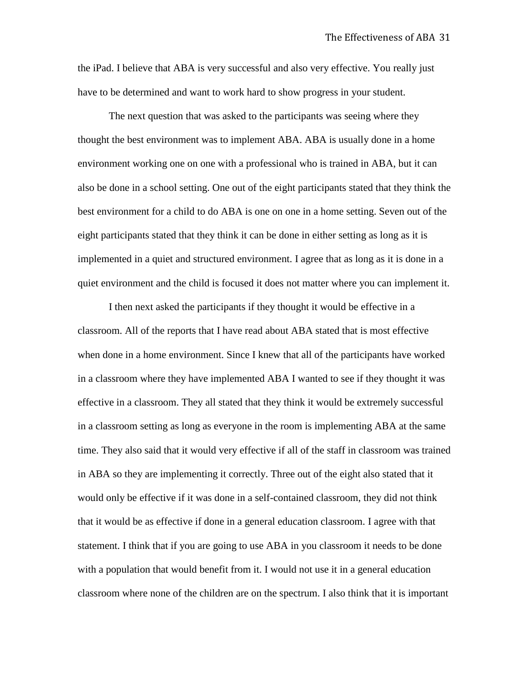the iPad. I believe that ABA is very successful and also very effective. You really just have to be determined and want to work hard to show progress in your student.

The next question that was asked to the participants was seeing where they thought the best environment was to implement ABA. ABA is usually done in a home environment working one on one with a professional who is trained in ABA, but it can also be done in a school setting. One out of the eight participants stated that they think the best environment for a child to do ABA is one on one in a home setting. Seven out of the eight participants stated that they think it can be done in either setting as long as it is implemented in a quiet and structured environment. I agree that as long as it is done in a quiet environment and the child is focused it does not matter where you can implement it.

I then next asked the participants if they thought it would be effective in a classroom. All of the reports that I have read about ABA stated that is most effective when done in a home environment. Since I knew that all of the participants have worked in a classroom where they have implemented ABA I wanted to see if they thought it was effective in a classroom. They all stated that they think it would be extremely successful in a classroom setting as long as everyone in the room is implementing ABA at the same time. They also said that it would very effective if all of the staff in classroom was trained in ABA so they are implementing it correctly. Three out of the eight also stated that it would only be effective if it was done in a self-contained classroom, they did not think that it would be as effective if done in a general education classroom. I agree with that statement. I think that if you are going to use ABA in you classroom it needs to be done with a population that would benefit from it. I would not use it in a general education classroom where none of the children are on the spectrum. I also think that it is important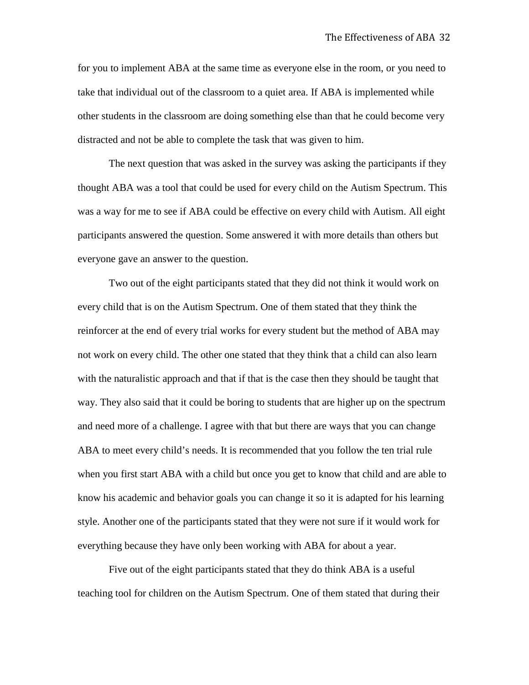for you to implement ABA at the same time as everyone else in the room, or you need to take that individual out of the classroom to a quiet area. If ABA is implemented while other students in the classroom are doing something else than that he could become very distracted and not be able to complete the task that was given to him.

The next question that was asked in the survey was asking the participants if they thought ABA was a tool that could be used for every child on the Autism Spectrum. This was a way for me to see if ABA could be effective on every child with Autism. All eight participants answered the question. Some answered it with more details than others but everyone gave an answer to the question.

Two out of the eight participants stated that they did not think it would work on every child that is on the Autism Spectrum. One of them stated that they think the reinforcer at the end of every trial works for every student but the method of ABA may not work on every child. The other one stated that they think that a child can also learn with the naturalistic approach and that if that is the case then they should be taught that way. They also said that it could be boring to students that are higher up on the spectrum and need more of a challenge. I agree with that but there are ways that you can change ABA to meet every child's needs. It is recommended that you follow the ten trial rule when you first start ABA with a child but once you get to know that child and are able to know his academic and behavior goals you can change it so it is adapted for his learning style. Another one of the participants stated that they were not sure if it would work for everything because they have only been working with ABA for about a year.

Five out of the eight participants stated that they do think ABA is a useful teaching tool for children on the Autism Spectrum. One of them stated that during their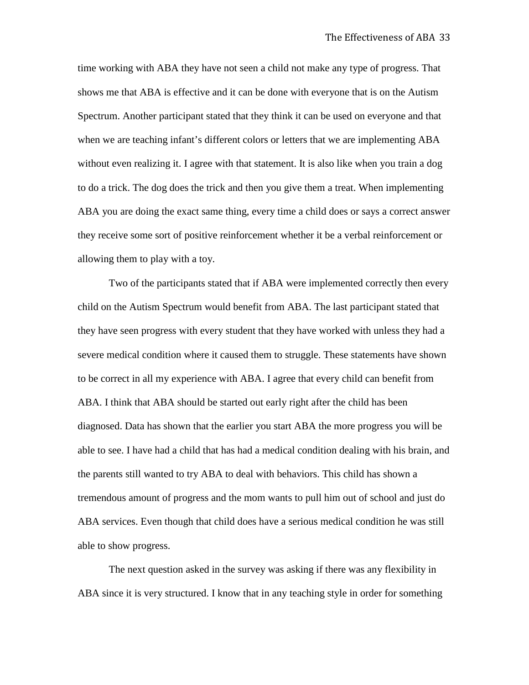time working with ABA they have not seen a child not make any type of progress. That shows me that ABA is effective and it can be done with everyone that is on the Autism Spectrum. Another participant stated that they think it can be used on everyone and that when we are teaching infant's different colors or letters that we are implementing ABA without even realizing it. I agree with that statement. It is also like when you train a dog to do a trick. The dog does the trick and then you give them a treat. When implementing ABA you are doing the exact same thing, every time a child does or says a correct answer they receive some sort of positive reinforcement whether it be a verbal reinforcement or allowing them to play with a toy.

Two of the participants stated that if ABA were implemented correctly then every child on the Autism Spectrum would benefit from ABA. The last participant stated that they have seen progress with every student that they have worked with unless they had a severe medical condition where it caused them to struggle. These statements have shown to be correct in all my experience with ABA. I agree that every child can benefit from ABA. I think that ABA should be started out early right after the child has been diagnosed. Data has shown that the earlier you start ABA the more progress you will be able to see. I have had a child that has had a medical condition dealing with his brain, and the parents still wanted to try ABA to deal with behaviors. This child has shown a tremendous amount of progress and the mom wants to pull him out of school and just do ABA services. Even though that child does have a serious medical condition he was still able to show progress.

The next question asked in the survey was asking if there was any flexibility in ABA since it is very structured. I know that in any teaching style in order for something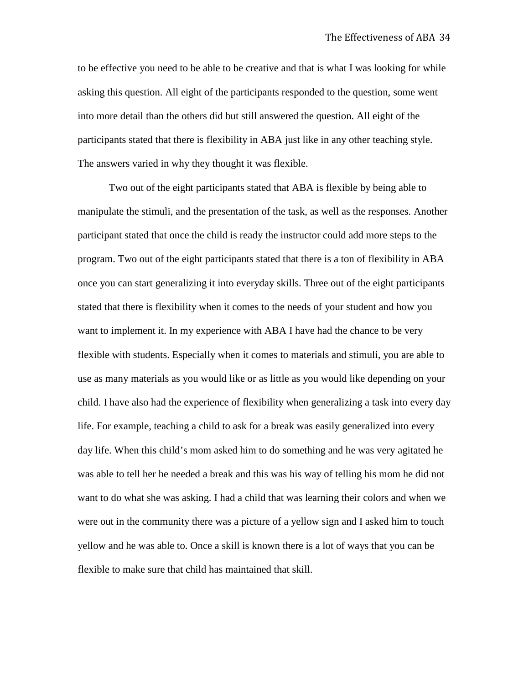to be effective you need to be able to be creative and that is what I was looking for while asking this question. All eight of the participants responded to the question, some went into more detail than the others did but still answered the question. All eight of the participants stated that there is flexibility in ABA just like in any other teaching style. The answers varied in why they thought it was flexible.

Two out of the eight participants stated that ABA is flexible by being able to manipulate the stimuli, and the presentation of the task, as well as the responses. Another participant stated that once the child is ready the instructor could add more steps to the program. Two out of the eight participants stated that there is a ton of flexibility in ABA once you can start generalizing it into everyday skills. Three out of the eight participants stated that there is flexibility when it comes to the needs of your student and how you want to implement it. In my experience with ABA I have had the chance to be very flexible with students. Especially when it comes to materials and stimuli, you are able to use as many materials as you would like or as little as you would like depending on your child. I have also had the experience of flexibility when generalizing a task into every day life. For example, teaching a child to ask for a break was easily generalized into every day life. When this child's mom asked him to do something and he was very agitated he was able to tell her he needed a break and this was his way of telling his mom he did not want to do what she was asking. I had a child that was learning their colors and when we were out in the community there was a picture of a yellow sign and I asked him to touch yellow and he was able to. Once a skill is known there is a lot of ways that you can be flexible to make sure that child has maintained that skill.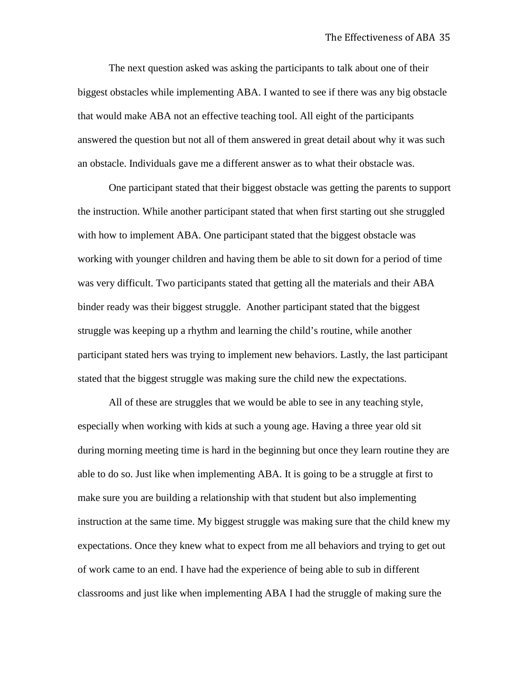The next question asked was asking the participants to talk about one of their biggest obstacles while implementing ABA. I wanted to see if there was any big obstacle that would make ABA not an effective teaching tool. All eight of the participants answered the question but not all of them answered in great detail about why it was such an obstacle. Individuals gave me a different answer as to what their obstacle was.

One participant stated that their biggest obstacle was getting the parents to support the instruction. While another participant stated that when first starting out she struggled with how to implement ABA. One participant stated that the biggest obstacle was working with younger children and having them be able to sit down for a period of time was very difficult. Two participants stated that getting all the materials and their ABA binder ready was their biggest struggle. Another participant stated that the biggest struggle was keeping up a rhythm and learning the child's routine, while another participant stated hers was trying to implement new behaviors. Lastly, the last participant stated that the biggest struggle was making sure the child new the expectations.

All of these are struggles that we would be able to see in any teaching style, especially when working with kids at such a young age. Having a three year old sit during morning meeting time is hard in the beginning but once they learn routine they are able to do so. Just like when implementing ABA. It is going to be a struggle at first to make sure you are building a relationship with that student but also implementing instruction at the same time. My biggest struggle was making sure that the child knew my expectations. Once they knew what to expect from me all behaviors and trying to get out of work came to an end. I have had the experience of being able to sub in different classrooms and just like when implementing ABA I had the struggle of making sure the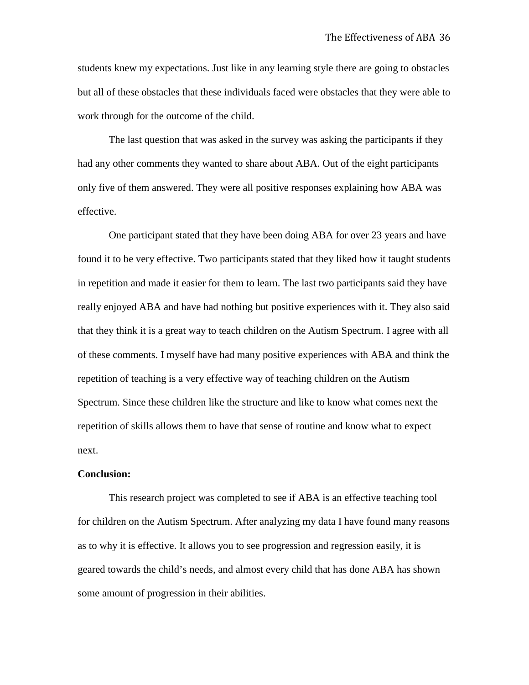students knew my expectations. Just like in any learning style there are going to obstacles but all of these obstacles that these individuals faced were obstacles that they were able to work through for the outcome of the child.

The last question that was asked in the survey was asking the participants if they had any other comments they wanted to share about ABA. Out of the eight participants only five of them answered. They were all positive responses explaining how ABA was effective.

One participant stated that they have been doing ABA for over 23 years and have found it to be very effective. Two participants stated that they liked how it taught students in repetition and made it easier for them to learn. The last two participants said they have really enjoyed ABA and have had nothing but positive experiences with it. They also said that they think it is a great way to teach children on the Autism Spectrum. I agree with all of these comments. I myself have had many positive experiences with ABA and think the repetition of teaching is a very effective way of teaching children on the Autism Spectrum. Since these children like the structure and like to know what comes next the repetition of skills allows them to have that sense of routine and know what to expect next.

#### **Conclusion:**

This research project was completed to see if ABA is an effective teaching tool for children on the Autism Spectrum. After analyzing my data I have found many reasons as to why it is effective. It allows you to see progression and regression easily, it is geared towards the child's needs, and almost every child that has done ABA has shown some amount of progression in their abilities.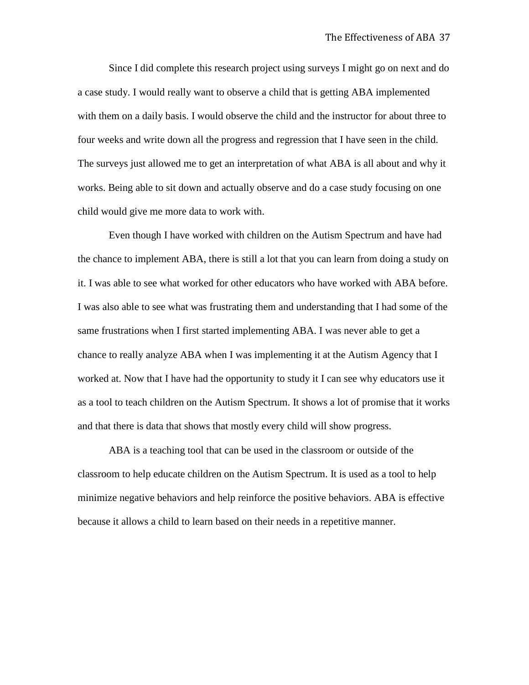Since I did complete this research project using surveys I might go on next and do a case study. I would really want to observe a child that is getting ABA implemented with them on a daily basis. I would observe the child and the instructor for about three to four weeks and write down all the progress and regression that I have seen in the child. The surveys just allowed me to get an interpretation of what ABA is all about and why it works. Being able to sit down and actually observe and do a case study focusing on one child would give me more data to work with.

Even though I have worked with children on the Autism Spectrum and have had the chance to implement ABA, there is still a lot that you can learn from doing a study on it. I was able to see what worked for other educators who have worked with ABA before. I was also able to see what was frustrating them and understanding that I had some of the same frustrations when I first started implementing ABA. I was never able to get a chance to really analyze ABA when I was implementing it at the Autism Agency that I worked at. Now that I have had the opportunity to study it I can see why educators use it as a tool to teach children on the Autism Spectrum. It shows a lot of promise that it works and that there is data that shows that mostly every child will show progress.

ABA is a teaching tool that can be used in the classroom or outside of the classroom to help educate children on the Autism Spectrum. It is used as a tool to help minimize negative behaviors and help reinforce the positive behaviors. ABA is effective because it allows a child to learn based on their needs in a repetitive manner.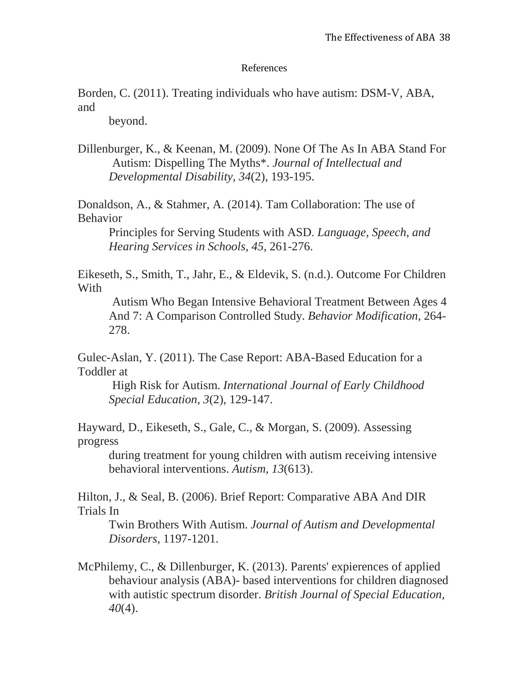## References

Borden, C. (2011). Treating individuals who have autism: DSM-V, ABA, and

beyond.

Dillenburger, K., & Keenan, M. (2009). None Of The As In ABA Stand For Autism: Dispelling The Myths\*. *Journal of Intellectual and Developmental Disability, 34*(2), 193-195.

Donaldson, A., & Stahmer, A. (2014). Tam Collaboration: The use of Behavior

Principles for Serving Students with ASD. *Language, Speech, and Hearing Services in Schools, 45*, 261-276.

Eikeseth, S., Smith, T., Jahr, E., & Eldevik, S. (n.d.). Outcome For Children With

Autism Who Began Intensive Behavioral Treatment Between Ages 4 And 7: A Comparison Controlled Study. *Behavior Modification,* 264- 278.

Gulec-Aslan, Y. (2011). The Case Report: ABA-Based Education for a Toddler at

High Risk for Autism. *International Journal of Early Childhood Special Education, 3*(2), 129-147.

Hayward, D., Eikeseth, S., Gale, C., & Morgan, S. (2009). Assessing progress

during treatment for young children with autism receiving intensive behavioral interventions. *Autism, 13*(613).

Hilton, J., & Seal, B. (2006). Brief Report: Comparative ABA And DIR Trials In

Twin Brothers With Autism. *Journal of Autism and Developmental Disorders,* 1197-1201.

McPhilemy, C., & Dillenburger, K. (2013). Parents' expierences of applied behaviour analysis (ABA)- based interventions for children diagnosed with autistic spectrum disorder. *British Journal of Special Education, 40*(4).